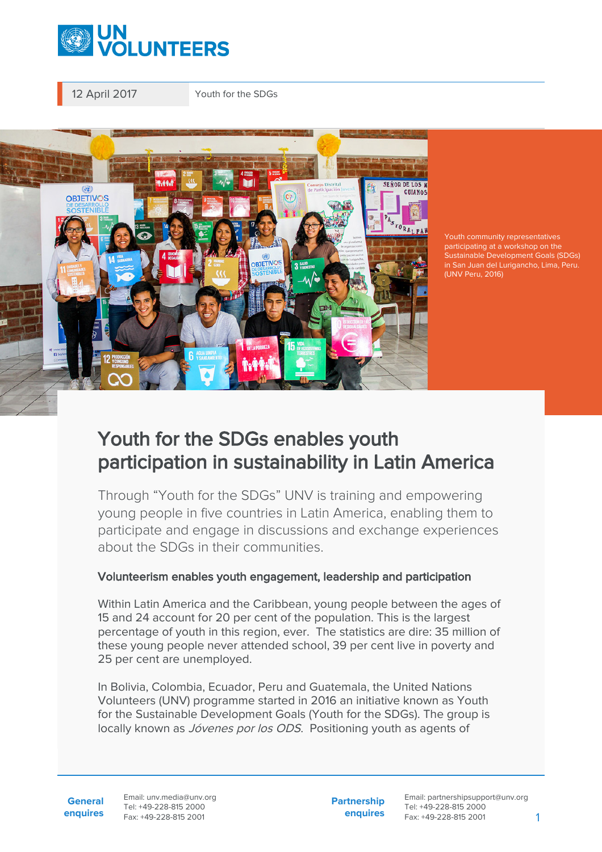

12 April 2017 Youth for the SDGs



participating at a workshop on the Sustainable Development Goals (SDGs) in San Juan del Lurigancho, Lima, Peru. (UNV Peru, 2016)

## Youth for the SDGs enables youth participation in sustainability in Latin America

Through "Youth for the SDGs" UNV is training and empowering young people in five countries in Latin America, enabling them to participate and engage in discussions and exchange experiences about the SDGs in their communities.

## Volunteerism enables youth engagement, leadership and participation

Within Latin America and the Caribbean, young people between the ages of 15 and 24 account for 20 per cent of the population. This is the largest percentage of youth in this region, ever. The statistics are dire: 35 million of these young people never attended school, 39 per cent live in poverty and 25 per cent are unemployed.

In Bolivia, Colombia, Ecuador, Peru and Guatemala, the United Nations Volunteers (UNV) programme started in 2016 an initiative known as Youth for the Sustainable Development Goals (Youth for the SDGs). The group is locally known as *Jóvenes por los ODS*. Positioning youth as agents of

**General enquires** Email: unv.media@unv.org Tel: +49-228-815 2000 Fax: +49-228-815 2001

**Partnership enquires** Email: partnershipsupport@unv.org Tel: +49-228-815 2000 Fax: +49-228-815 2001 1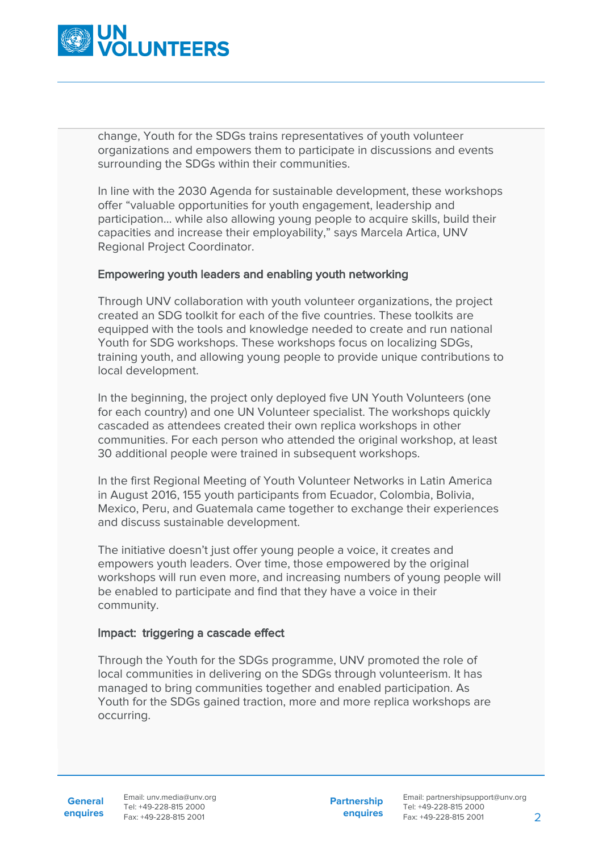

change, Youth for the SDGs trains representatives of youth volunteer organizations and empowers them to participate in discussions and events surrounding the SDGs within their communities.

In line with the 2030 Agenda for sustainable development, these workshops offer "valuable opportunities for youth engagement, leadership and participation… while also allowing young people to acquire skills, build their capacities and increase their employability," says Marcela Artica, UNV Regional Project Coordinator.

## Empowering youth leaders and enabling youth networking

Through UNV collaboration with youth volunteer organizations, the project created an SDG toolkit for each of the five countries. These toolkits are equipped with the tools and knowledge needed to create and run national Youth for SDG workshops. These workshops focus on localizing SDGs, training youth, and allowing young people to provide unique contributions to local development.

In the beginning, the project only deployed five UN Youth Volunteers (one for each country) and one UN Volunteer specialist. The workshops quickly cascaded as attendees created their own replica workshops in other communities. For each person who attended the original workshop, at least 30 additional people were trained in subsequent workshops.

In the first Regional Meeting of Youth Volunteer Networks in Latin America in August 2016, 155 youth participants from Ecuador, Colombia, Bolivia, Mexico, Peru, and Guatemala came together to exchange their experiences and discuss sustainable development.

The initiative doesn't just offer young people a voice, it creates and empowers youth leaders. Over time, those empowered by the original workshops will run even more, and increasing numbers of young people will be enabled to participate and find that they have a voice in their community.

## Impact: triggering a cascade effect

Through the Youth for the SDGs programme, UNV promoted the role of local communities in delivering on the SDGs through volunteerism. It has managed to bring communities together and enabled participation. As Youth for the SDGs gained traction, more and more replica workshops are occurring.

**Partnership enquires**